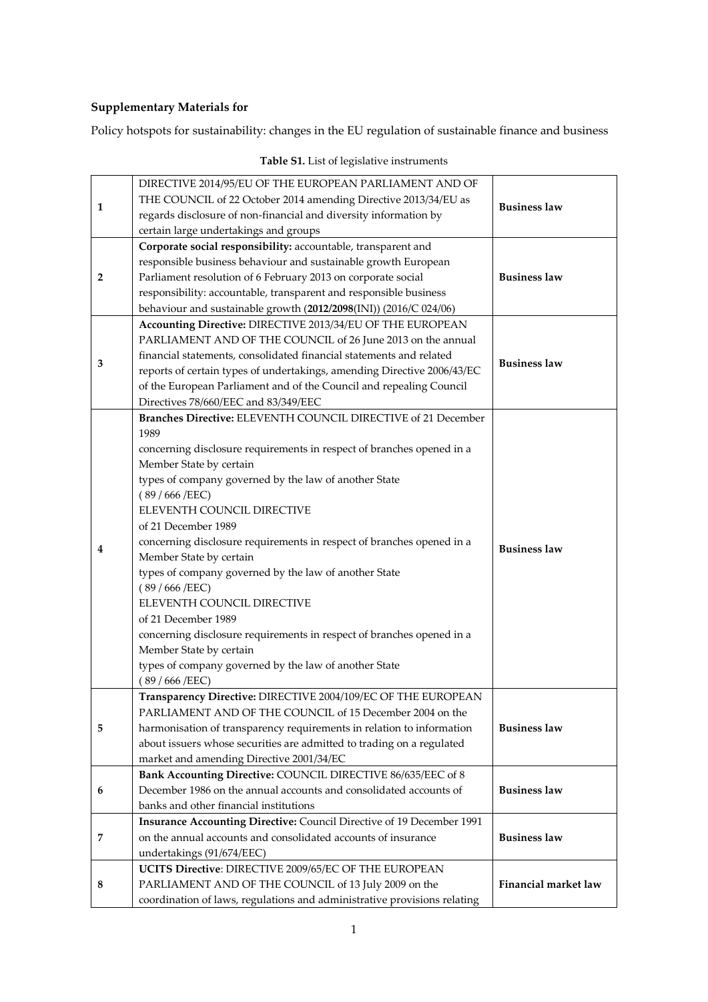## **Supplementary Materials for**

Policy hotspots for sustainability: changes in the EU regulation of sustainable finance and business

| 1              | DIRECTIVE 2014/95/EU OF THE EUROPEAN PARLIAMENT AND OF<br>THE COUNCIL of 22 October 2014 amending Directive 2013/34/EU as<br>regards disclosure of non-financial and diversity information by<br>certain large undertakings and groups                                                                                                                                                                                                                                                                                                                                                                                                                                                                                 | <b>Business law</b>         |
|----------------|------------------------------------------------------------------------------------------------------------------------------------------------------------------------------------------------------------------------------------------------------------------------------------------------------------------------------------------------------------------------------------------------------------------------------------------------------------------------------------------------------------------------------------------------------------------------------------------------------------------------------------------------------------------------------------------------------------------------|-----------------------------|
| $\overline{2}$ | Corporate social responsibility: accountable, transparent and<br>responsible business behaviour and sustainable growth European<br>Parliament resolution of 6 February 2013 on corporate social<br>responsibility: accountable, transparent and responsible business<br>behaviour and sustainable growth (2012/2098(INI)) (2016/C 024/06)                                                                                                                                                                                                                                                                                                                                                                              | <b>Business law</b>         |
| 3              | Accounting Directive: DIRECTIVE 2013/34/EU OF THE EUROPEAN<br>PARLIAMENT AND OF THE COUNCIL of 26 June 2013 on the annual<br>financial statements, consolidated financial statements and related<br>reports of certain types of undertakings, amending Directive 2006/43/EC<br>of the European Parliament and of the Council and repealing Council<br>Directives 78/660/EEC and 83/349/EEC                                                                                                                                                                                                                                                                                                                             | <b>Business law</b>         |
| 4              | Branches Directive: ELEVENTH COUNCIL DIRECTIVE of 21 December<br>1989<br>concerning disclosure requirements in respect of branches opened in a<br>Member State by certain<br>types of company governed by the law of another State<br>(89/666/EEC)<br>ELEVENTH COUNCIL DIRECTIVE<br>of 21 December 1989<br>concerning disclosure requirements in respect of branches opened in a<br>Member State by certain<br>types of company governed by the law of another State<br>(89/666/EEC)<br>ELEVENTH COUNCIL DIRECTIVE<br>of 21 December 1989<br>concerning disclosure requirements in respect of branches opened in a<br>Member State by certain<br>types of company governed by the law of another State<br>(89/666/EEC) | <b>Business law</b>         |
| 5              | Transparency Directive: DIRECTIVE 2004/109/EC OF THE EUROPEAN<br>PARLIAMENT AND OF THE COUNCIL of 15 December 2004 on the<br>harmonisation of transparency requirements in relation to information<br>about issuers whose securities are admitted to trading on a regulated<br>market and amending Directive 2001/34/EC                                                                                                                                                                                                                                                                                                                                                                                                | <b>Business law</b>         |
| 6              | Bank Accounting Directive: COUNCIL DIRECTIVE 86/635/EEC of 8<br>December 1986 on the annual accounts and consolidated accounts of<br>banks and other financial institutions                                                                                                                                                                                                                                                                                                                                                                                                                                                                                                                                            | <b>Business law</b>         |
| 7              | Insurance Accounting Directive: Council Directive of 19 December 1991<br>on the annual accounts and consolidated accounts of insurance<br>undertakings (91/674/EEC)                                                                                                                                                                                                                                                                                                                                                                                                                                                                                                                                                    | <b>Business law</b>         |
| 8              | UCITS Directive: DIRECTIVE 2009/65/EC OF THE EUROPEAN<br>PARLIAMENT AND OF THE COUNCIL of 13 July 2009 on the<br>coordination of laws, regulations and administrative provisions relating                                                                                                                                                                                                                                                                                                                                                                                                                                                                                                                              | <b>Financial market law</b> |

## **Table S1.** List of legislative instruments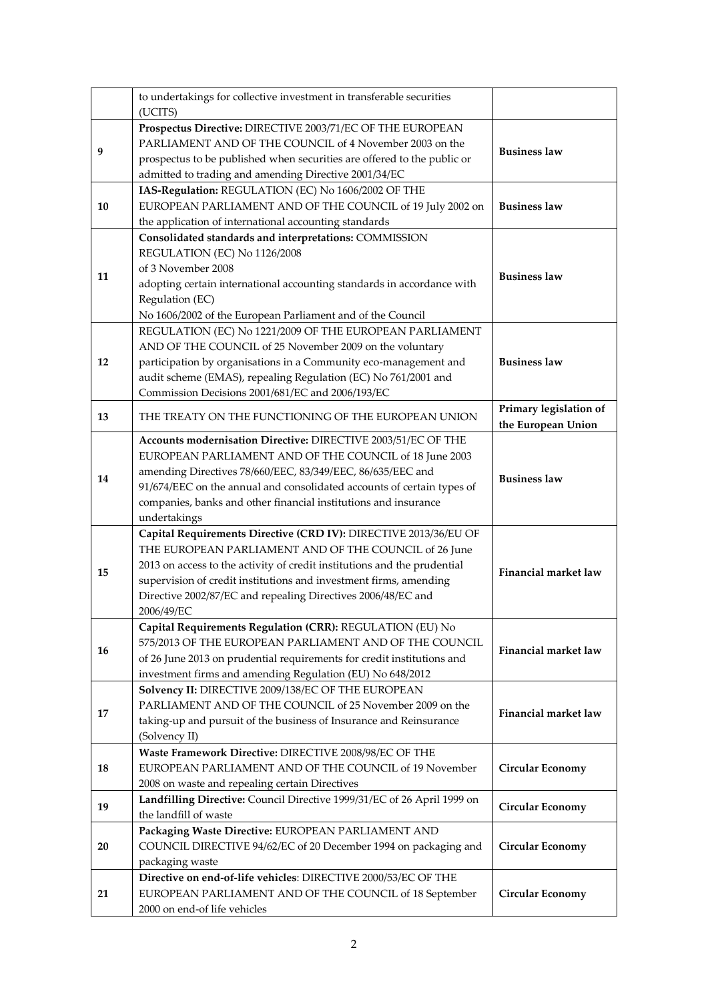|                                                                                                                                                                                                                                                                               | to undertakings for collective investment in transferable securities<br>(UCITS)                                                                                                                                                                                                                                                                          |                                              |  |
|-------------------------------------------------------------------------------------------------------------------------------------------------------------------------------------------------------------------------------------------------------------------------------|----------------------------------------------------------------------------------------------------------------------------------------------------------------------------------------------------------------------------------------------------------------------------------------------------------------------------------------------------------|----------------------------------------------|--|
| 9                                                                                                                                                                                                                                                                             | Prospectus Directive: DIRECTIVE 2003/71/EC OF THE EUROPEAN<br>PARLIAMENT AND OF THE COUNCIL of 4 November 2003 on the<br>prospectus to be published when securities are offered to the public or<br>admitted to trading and amending Directive 2001/34/EC                                                                                                | <b>Business law</b>                          |  |
| 10                                                                                                                                                                                                                                                                            | IAS-Regulation: REGULATION (EC) No 1606/2002 OF THE<br>EUROPEAN PARLIAMENT AND OF THE COUNCIL of 19 July 2002 on<br>the application of international accounting standards                                                                                                                                                                                | <b>Business law</b>                          |  |
| Consolidated standards and interpretations: COMMISSION<br>REGULATION (EC) No 1126/2008<br>of 3 November 2008<br>11<br>adopting certain international accounting standards in accordance with<br>Regulation (EC)<br>No 1606/2002 of the European Parliament and of the Council |                                                                                                                                                                                                                                                                                                                                                          | <b>Business law</b>                          |  |
| 12                                                                                                                                                                                                                                                                            | REGULATION (EC) No 1221/2009 OF THE EUROPEAN PARLIAMENT<br>AND OF THE COUNCIL of 25 November 2009 on the voluntary<br>participation by organisations in a Community eco-management and<br>audit scheme (EMAS), repealing Regulation (EC) No 761/2001 and<br>Commission Decisions 2001/681/EC and 2006/193/EC                                             | <b>Business law</b>                          |  |
| 13                                                                                                                                                                                                                                                                            | THE TREATY ON THE FUNCTIONING OF THE EUROPEAN UNION                                                                                                                                                                                                                                                                                                      | Primary legislation of<br>the European Union |  |
| 14                                                                                                                                                                                                                                                                            | Accounts modernisation Directive: DIRECTIVE 2003/51/EC OF THE<br>EUROPEAN PARLIAMENT AND OF THE COUNCIL of 18 June 2003<br>amending Directives 78/660/EEC, 83/349/EEC, 86/635/EEC and<br>91/674/EEC on the annual and consolidated accounts of certain types of<br>companies, banks and other financial institutions and insurance<br>undertakings       | <b>Business law</b>                          |  |
| 15                                                                                                                                                                                                                                                                            | Capital Requirements Directive (CRD IV): DIRECTIVE 2013/36/EU OF<br>THE EUROPEAN PARLIAMENT AND OF THE COUNCIL of 26 June<br>2013 on access to the activity of credit institutions and the prudential<br>supervision of credit institutions and investment firms, amending<br>Directive 2002/87/EC and repealing Directives 2006/48/EC and<br>2006/49/EC | <b>Financial market law</b>                  |  |
| 16                                                                                                                                                                                                                                                                            | Capital Requirements Regulation (CRR): REGULATION (EU) No<br>575/2013 OF THE EUROPEAN PARLIAMENT AND OF THE COUNCIL<br>of 26 June 2013 on prudential requirements for credit institutions and<br>investment firms and amending Regulation (EU) No 648/2012                                                                                               | <b>Financial market law</b>                  |  |
| 17                                                                                                                                                                                                                                                                            | Solvency II: DIRECTIVE 2009/138/EC OF THE EUROPEAN<br>PARLIAMENT AND OF THE COUNCIL of 25 November 2009 on the<br>taking-up and pursuit of the business of Insurance and Reinsurance<br>(Solvency II)                                                                                                                                                    | <b>Financial market law</b>                  |  |
| 18                                                                                                                                                                                                                                                                            | Waste Framework Directive: DIRECTIVE 2008/98/EC OF THE<br>EUROPEAN PARLIAMENT AND OF THE COUNCIL of 19 November<br>2008 on waste and repealing certain Directives                                                                                                                                                                                        | <b>Circular Economy</b>                      |  |
| 19                                                                                                                                                                                                                                                                            | Landfilling Directive: Council Directive 1999/31/EC of 26 April 1999 on<br>the landfill of waste                                                                                                                                                                                                                                                         | <b>Circular Economy</b>                      |  |
| 20                                                                                                                                                                                                                                                                            | Packaging Waste Directive: EUROPEAN PARLIAMENT AND<br>COUNCIL DIRECTIVE 94/62/EC of 20 December 1994 on packaging and<br>packaging waste                                                                                                                                                                                                                 | <b>Circular Economy</b>                      |  |
| 21                                                                                                                                                                                                                                                                            | Directive on end-of-life vehicles: DIRECTIVE 2000/53/EC OF THE<br>EUROPEAN PARLIAMENT AND OF THE COUNCIL of 18 September<br>2000 on end-of life vehicles                                                                                                                                                                                                 | <b>Circular Economy</b>                      |  |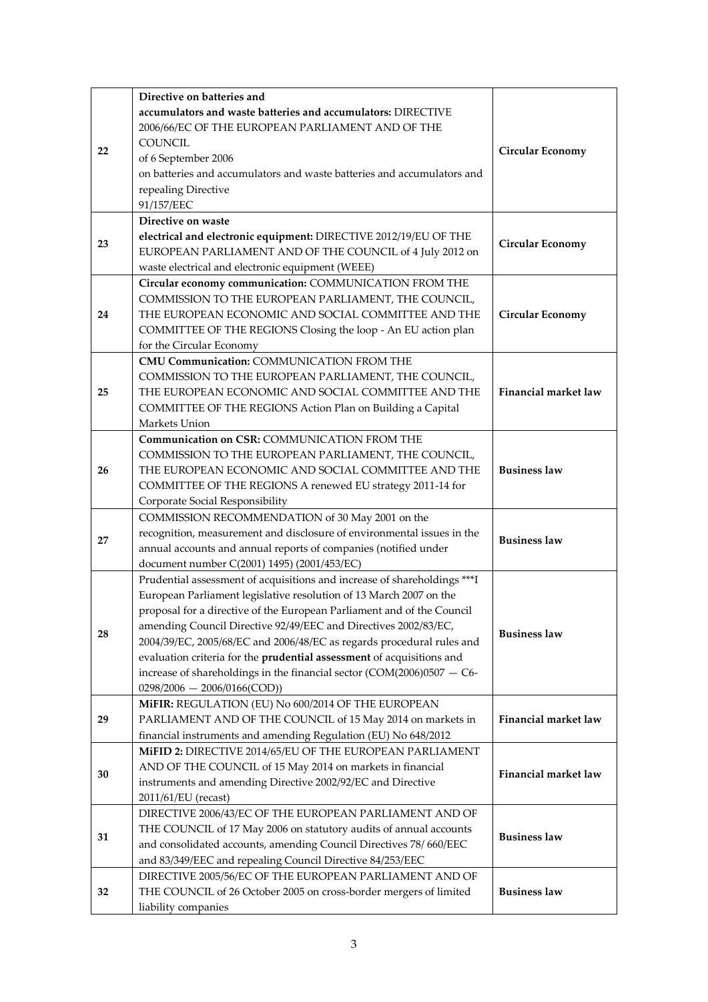|    | Directive on batteries and                                                          |                         |
|----|-------------------------------------------------------------------------------------|-------------------------|
|    | accumulators and waste batteries and accumulators: DIRECTIVE                        |                         |
|    | 2006/66/EC OF THE EUROPEAN PARLIAMENT AND OF THE                                    |                         |
| 22 | <b>COUNCIL</b>                                                                      | <b>Circular Economy</b> |
|    | of 6 September 2006                                                                 |                         |
|    | on batteries and accumulators and waste batteries and accumulators and              |                         |
|    | repealing Directive                                                                 |                         |
|    | 91/157/EEC                                                                          |                         |
|    | Directive on waste                                                                  |                         |
| 23 | electrical and electronic equipment: DIRECTIVE 2012/19/EU OF THE                    | <b>Circular Economy</b> |
|    | EUROPEAN PARLIAMENT AND OF THE COUNCIL of 4 July 2012 on                            |                         |
|    | waste electrical and electronic equipment (WEEE)                                    |                         |
|    | Circular economy communication: COMMUNICATION FROM THE                              |                         |
|    | COMMISSION TO THE EUROPEAN PARLIAMENT, THE COUNCIL,                                 |                         |
| 24 | THE EUROPEAN ECONOMIC AND SOCIAL COMMITTEE AND THE                                  | <b>Circular Economy</b> |
|    | COMMITTEE OF THE REGIONS Closing the loop - An EU action plan                       |                         |
|    | for the Circular Economy<br>CMU Communication: COMMUNICATION FROM THE               |                         |
|    | COMMISSION TO THE EUROPEAN PARLIAMENT, THE COUNCIL,                                 |                         |
| 25 | THE EUROPEAN ECONOMIC AND SOCIAL COMMITTEE AND THE                                  | Financial market law    |
|    | COMMITTEE OF THE REGIONS Action Plan on Building a Capital                          |                         |
|    | Markets Union                                                                       |                         |
|    | Communication on CSR: COMMUNICATION FROM THE                                        |                         |
|    | COMMISSION TO THE EUROPEAN PARLIAMENT, THE COUNCIL,                                 |                         |
| 26 | THE EUROPEAN ECONOMIC AND SOCIAL COMMITTEE AND THE                                  | <b>Business law</b>     |
|    | COMMITTEE OF THE REGIONS A renewed EU strategy 2011-14 for                          |                         |
|    | Corporate Social Responsibility                                                     |                         |
|    | COMMISSION RECOMMENDATION of 30 May 2001 on the                                     |                         |
| 27 | recognition, measurement and disclosure of environmental issues in the              | <b>Business law</b>     |
|    | annual accounts and annual reports of companies (notified under                     |                         |
|    | document number C(2001) 1495) (2001/453/EC)                                         |                         |
|    | Prudential assessment of acquisitions and increase of shareholdings *** I           |                         |
|    | European Parliament legislative resolution of 13 March 2007 on the                  |                         |
|    | proposal for a directive of the European Parliament and of the Council              |                         |
| 28 | amending Council Directive 92/49/EEC and Directives 2002/83/EC,                     | <b>Business law</b>     |
|    | 2004/39/EC, 2005/68/EC and 2006/48/EC as regards procedural rules and               |                         |
|    | evaluation criteria for the prudential assessment of acquisitions and               |                         |
|    | increase of shareholdings in the financial sector $(COM(2006)0507 - C6$ -           |                         |
|    | $0298/2006 - 2006/0166(COD))$<br>MiFIR: REGULATION (EU) No 600/2014 OF THE EUROPEAN |                         |
| 29 | PARLIAMENT AND OF THE COUNCIL of 15 May 2014 on markets in                          | Financial market law    |
|    | financial instruments and amending Regulation (EU) No 648/2012                      |                         |
|    | MIFID 2: DIRECTIVE 2014/65/EU OF THE EUROPEAN PARLIAMENT                            |                         |
| 30 | AND OF THE COUNCIL of 15 May 2014 on markets in financial                           |                         |
|    | instruments and amending Directive 2002/92/EC and Directive                         | Financial market law    |
|    | 2011/61/EU (recast)                                                                 |                         |
|    | DIRECTIVE 2006/43/EC OF THE EUROPEAN PARLIAMENT AND OF                              |                         |
| 31 | THE COUNCIL of 17 May 2006 on statutory audits of annual accounts                   | <b>Business law</b>     |
|    | and consolidated accounts, amending Council Directives 78/660/EEC                   |                         |
|    | and 83/349/EEC and repealing Council Directive 84/253/EEC                           |                         |
|    | DIRECTIVE 2005/56/EC OF THE EUROPEAN PARLIAMENT AND OF                              |                         |
| 32 | THE COUNCIL of 26 October 2005 on cross-border mergers of limited                   | <b>Business law</b>     |
|    | liability companies                                                                 |                         |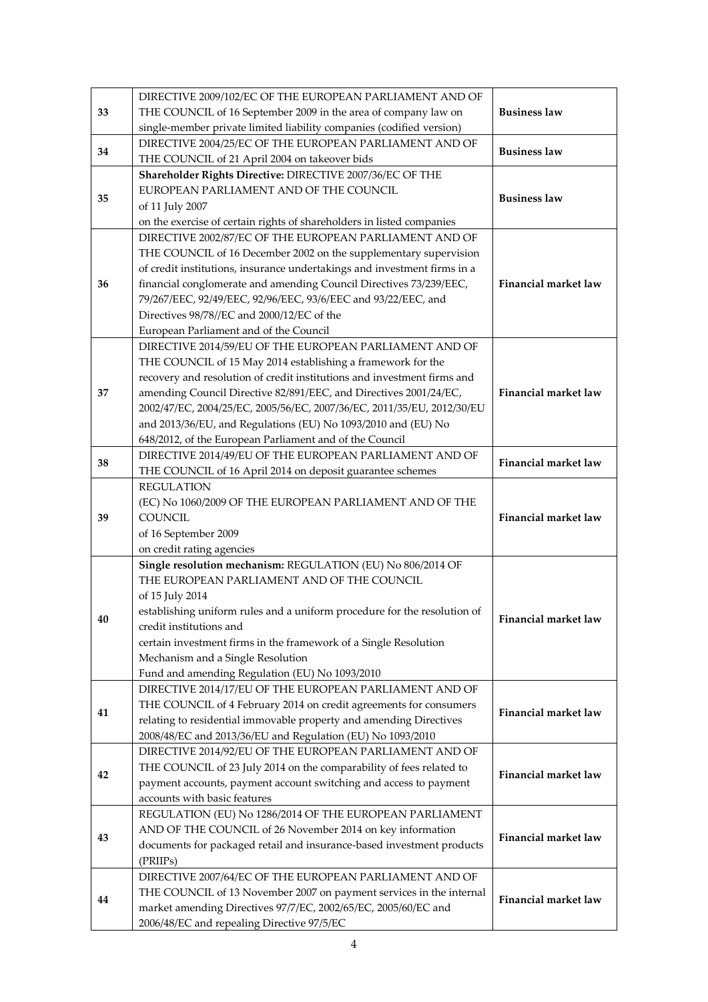| THE COUNCIL of 16 September 2009 in the area of company law on<br><b>Business law</b><br>33<br>single-member private limited liability companies (codified version)<br>DIRECTIVE 2004/25/EC OF THE EUROPEAN PARLIAMENT AND OF<br><b>Business law</b><br>34<br>THE COUNCIL of 21 April 2004 on takeover bids<br>Shareholder Rights Directive: DIRECTIVE 2007/36/EC OF THE<br>EUROPEAN PARLIAMENT AND OF THE COUNCIL<br><b>Business law</b><br>35<br>of 11 July 2007<br>on the exercise of certain rights of shareholders in listed companies<br>DIRECTIVE 2002/87/EC OF THE EUROPEAN PARLIAMENT AND OF<br>THE COUNCIL of 16 December 2002 on the supplementary supervision<br>of credit institutions, insurance undertakings and investment firms in a<br>financial conglomerate and amending Council Directives 73/239/EEC,<br><b>Financial market law</b><br>36<br>79/267/EEC, 92/49/EEC, 92/96/EEC, 93/6/EEC and 93/22/EEC, and<br>Directives 98/78//EC and 2000/12/EC of the<br>European Parliament and of the Council<br>DIRECTIVE 2014/59/EU OF THE EUROPEAN PARLIAMENT AND OF<br>THE COUNCIL of 15 May 2014 establishing a framework for the<br>recovery and resolution of credit institutions and investment firms and<br>Financial market law<br>amending Council Directive 82/891/EEC, and Directives 2001/24/EC,<br>37<br>2002/47/EC, 2004/25/EC, 2005/56/EC, 2007/36/EC, 2011/35/EU, 2012/30/EU<br>and 2013/36/EU, and Regulations (EU) No 1093/2010 and (EU) No<br>648/2012, of the European Parliament and of the Council<br>DIRECTIVE 2014/49/EU OF THE EUROPEAN PARLIAMENT AND OF<br><b>Financial market law</b><br>38<br>THE COUNCIL of 16 April 2014 on deposit guarantee schemes<br><b>REGULATION</b><br>(EC) No 1060/2009 OF THE EUROPEAN PARLIAMENT AND OF THE<br>Financial market law<br><b>COUNCIL</b><br>39<br>of 16 September 2009<br>on credit rating agencies<br>Single resolution mechanism: REGULATION (EU) No 806/2014 OF<br>THE EUROPEAN PARLIAMENT AND OF THE COUNCIL<br>of 15 July 2014<br>establishing uniform rules and a uniform procedure for the resolution of<br>40<br>Financial market law<br>credit institutions and<br>certain investment firms in the framework of a Single Resolution<br>Mechanism and a Single Resolution<br>Fund and amending Regulation (EU) No 1093/2010<br>DIRECTIVE 2014/17/EU OF THE EUROPEAN PARLIAMENT AND OF<br>THE COUNCIL of 4 February 2014 on credit agreements for consumers<br>Financial market law<br>41<br>relating to residential immovable property and amending Directives<br>2008/48/EC and 2013/36/EU and Regulation (EU) No 1093/2010<br>DIRECTIVE 2014/92/EU OF THE EUROPEAN PARLIAMENT AND OF<br>THE COUNCIL of 23 July 2014 on the comparability of fees related to<br><b>Financial market law</b><br>42<br>payment accounts, payment account switching and access to payment<br>accounts with basic features<br>REGULATION (EU) No 1286/2014 OF THE EUROPEAN PARLIAMENT<br>AND OF THE COUNCIL of 26 November 2014 on key information<br><b>Financial market law</b><br>43<br>documents for packaged retail and insurance-based investment products<br>(PRIIPs)<br>DIRECTIVE 2007/64/EC OF THE EUROPEAN PARLIAMENT AND OF<br>THE COUNCIL of 13 November 2007 on payment services in the internal<br>Financial market law<br>44 | market amending Directives 97/7/EC, 2002/65/EC, 2005/60/EC and<br>2006/48/EC and repealing Directive 97/5/EC |  | DIRECTIVE 2009/102/EC OF THE EUROPEAN PARLIAMENT AND OF |  |  |
|----------------------------------------------------------------------------------------------------------------------------------------------------------------------------------------------------------------------------------------------------------------------------------------------------------------------------------------------------------------------------------------------------------------------------------------------------------------------------------------------------------------------------------------------------------------------------------------------------------------------------------------------------------------------------------------------------------------------------------------------------------------------------------------------------------------------------------------------------------------------------------------------------------------------------------------------------------------------------------------------------------------------------------------------------------------------------------------------------------------------------------------------------------------------------------------------------------------------------------------------------------------------------------------------------------------------------------------------------------------------------------------------------------------------------------------------------------------------------------------------------------------------------------------------------------------------------------------------------------------------------------------------------------------------------------------------------------------------------------------------------------------------------------------------------------------------------------------------------------------------------------------------------------------------------------------------------------------------------------------------------------------------------------------------------------------------------------------------------------------------------------------------------------------------------------------------------------------------------------------------------------------------------------------------------------------------------------------------------------------------------------------------------------------------------------------------------------------------------------------------------------------------------------------------------------------------------------------------------------------------------------------------------------------------------------------------------------------------------------------------------------------------------------------------------------------------------------------------------------------------------------------------------------------------------------------------------------------------------------------------------------------------------------------------------------------------------------------------------------------------------------------------------------------------------------------------------------------------------------------------------------------------------------------------------------------------|--------------------------------------------------------------------------------------------------------------|--|---------------------------------------------------------|--|--|
|                                                                                                                                                                                                                                                                                                                                                                                                                                                                                                                                                                                                                                                                                                                                                                                                                                                                                                                                                                                                                                                                                                                                                                                                                                                                                                                                                                                                                                                                                                                                                                                                                                                                                                                                                                                                                                                                                                                                                                                                                                                                                                                                                                                                                                                                                                                                                                                                                                                                                                                                                                                                                                                                                                                                                                                                                                                                                                                                                                                                                                                                                                                                                                                                                                                                                                                      |                                                                                                              |  |                                                         |  |  |
|                                                                                                                                                                                                                                                                                                                                                                                                                                                                                                                                                                                                                                                                                                                                                                                                                                                                                                                                                                                                                                                                                                                                                                                                                                                                                                                                                                                                                                                                                                                                                                                                                                                                                                                                                                                                                                                                                                                                                                                                                                                                                                                                                                                                                                                                                                                                                                                                                                                                                                                                                                                                                                                                                                                                                                                                                                                                                                                                                                                                                                                                                                                                                                                                                                                                                                                      |                                                                                                              |  |                                                         |  |  |
|                                                                                                                                                                                                                                                                                                                                                                                                                                                                                                                                                                                                                                                                                                                                                                                                                                                                                                                                                                                                                                                                                                                                                                                                                                                                                                                                                                                                                                                                                                                                                                                                                                                                                                                                                                                                                                                                                                                                                                                                                                                                                                                                                                                                                                                                                                                                                                                                                                                                                                                                                                                                                                                                                                                                                                                                                                                                                                                                                                                                                                                                                                                                                                                                                                                                                                                      |                                                                                                              |  |                                                         |  |  |
|                                                                                                                                                                                                                                                                                                                                                                                                                                                                                                                                                                                                                                                                                                                                                                                                                                                                                                                                                                                                                                                                                                                                                                                                                                                                                                                                                                                                                                                                                                                                                                                                                                                                                                                                                                                                                                                                                                                                                                                                                                                                                                                                                                                                                                                                                                                                                                                                                                                                                                                                                                                                                                                                                                                                                                                                                                                                                                                                                                                                                                                                                                                                                                                                                                                                                                                      |                                                                                                              |  |                                                         |  |  |
|                                                                                                                                                                                                                                                                                                                                                                                                                                                                                                                                                                                                                                                                                                                                                                                                                                                                                                                                                                                                                                                                                                                                                                                                                                                                                                                                                                                                                                                                                                                                                                                                                                                                                                                                                                                                                                                                                                                                                                                                                                                                                                                                                                                                                                                                                                                                                                                                                                                                                                                                                                                                                                                                                                                                                                                                                                                                                                                                                                                                                                                                                                                                                                                                                                                                                                                      |                                                                                                              |  |                                                         |  |  |
|                                                                                                                                                                                                                                                                                                                                                                                                                                                                                                                                                                                                                                                                                                                                                                                                                                                                                                                                                                                                                                                                                                                                                                                                                                                                                                                                                                                                                                                                                                                                                                                                                                                                                                                                                                                                                                                                                                                                                                                                                                                                                                                                                                                                                                                                                                                                                                                                                                                                                                                                                                                                                                                                                                                                                                                                                                                                                                                                                                                                                                                                                                                                                                                                                                                                                                                      |                                                                                                              |  |                                                         |  |  |
|                                                                                                                                                                                                                                                                                                                                                                                                                                                                                                                                                                                                                                                                                                                                                                                                                                                                                                                                                                                                                                                                                                                                                                                                                                                                                                                                                                                                                                                                                                                                                                                                                                                                                                                                                                                                                                                                                                                                                                                                                                                                                                                                                                                                                                                                                                                                                                                                                                                                                                                                                                                                                                                                                                                                                                                                                                                                                                                                                                                                                                                                                                                                                                                                                                                                                                                      |                                                                                                              |  |                                                         |  |  |
|                                                                                                                                                                                                                                                                                                                                                                                                                                                                                                                                                                                                                                                                                                                                                                                                                                                                                                                                                                                                                                                                                                                                                                                                                                                                                                                                                                                                                                                                                                                                                                                                                                                                                                                                                                                                                                                                                                                                                                                                                                                                                                                                                                                                                                                                                                                                                                                                                                                                                                                                                                                                                                                                                                                                                                                                                                                                                                                                                                                                                                                                                                                                                                                                                                                                                                                      |                                                                                                              |  |                                                         |  |  |
|                                                                                                                                                                                                                                                                                                                                                                                                                                                                                                                                                                                                                                                                                                                                                                                                                                                                                                                                                                                                                                                                                                                                                                                                                                                                                                                                                                                                                                                                                                                                                                                                                                                                                                                                                                                                                                                                                                                                                                                                                                                                                                                                                                                                                                                                                                                                                                                                                                                                                                                                                                                                                                                                                                                                                                                                                                                                                                                                                                                                                                                                                                                                                                                                                                                                                                                      |                                                                                                              |  |                                                         |  |  |
|                                                                                                                                                                                                                                                                                                                                                                                                                                                                                                                                                                                                                                                                                                                                                                                                                                                                                                                                                                                                                                                                                                                                                                                                                                                                                                                                                                                                                                                                                                                                                                                                                                                                                                                                                                                                                                                                                                                                                                                                                                                                                                                                                                                                                                                                                                                                                                                                                                                                                                                                                                                                                                                                                                                                                                                                                                                                                                                                                                                                                                                                                                                                                                                                                                                                                                                      |                                                                                                              |  |                                                         |  |  |
|                                                                                                                                                                                                                                                                                                                                                                                                                                                                                                                                                                                                                                                                                                                                                                                                                                                                                                                                                                                                                                                                                                                                                                                                                                                                                                                                                                                                                                                                                                                                                                                                                                                                                                                                                                                                                                                                                                                                                                                                                                                                                                                                                                                                                                                                                                                                                                                                                                                                                                                                                                                                                                                                                                                                                                                                                                                                                                                                                                                                                                                                                                                                                                                                                                                                                                                      |                                                                                                              |  |                                                         |  |  |
|                                                                                                                                                                                                                                                                                                                                                                                                                                                                                                                                                                                                                                                                                                                                                                                                                                                                                                                                                                                                                                                                                                                                                                                                                                                                                                                                                                                                                                                                                                                                                                                                                                                                                                                                                                                                                                                                                                                                                                                                                                                                                                                                                                                                                                                                                                                                                                                                                                                                                                                                                                                                                                                                                                                                                                                                                                                                                                                                                                                                                                                                                                                                                                                                                                                                                                                      |                                                                                                              |  |                                                         |  |  |
|                                                                                                                                                                                                                                                                                                                                                                                                                                                                                                                                                                                                                                                                                                                                                                                                                                                                                                                                                                                                                                                                                                                                                                                                                                                                                                                                                                                                                                                                                                                                                                                                                                                                                                                                                                                                                                                                                                                                                                                                                                                                                                                                                                                                                                                                                                                                                                                                                                                                                                                                                                                                                                                                                                                                                                                                                                                                                                                                                                                                                                                                                                                                                                                                                                                                                                                      |                                                                                                              |  |                                                         |  |  |
|                                                                                                                                                                                                                                                                                                                                                                                                                                                                                                                                                                                                                                                                                                                                                                                                                                                                                                                                                                                                                                                                                                                                                                                                                                                                                                                                                                                                                                                                                                                                                                                                                                                                                                                                                                                                                                                                                                                                                                                                                                                                                                                                                                                                                                                                                                                                                                                                                                                                                                                                                                                                                                                                                                                                                                                                                                                                                                                                                                                                                                                                                                                                                                                                                                                                                                                      |                                                                                                              |  |                                                         |  |  |
|                                                                                                                                                                                                                                                                                                                                                                                                                                                                                                                                                                                                                                                                                                                                                                                                                                                                                                                                                                                                                                                                                                                                                                                                                                                                                                                                                                                                                                                                                                                                                                                                                                                                                                                                                                                                                                                                                                                                                                                                                                                                                                                                                                                                                                                                                                                                                                                                                                                                                                                                                                                                                                                                                                                                                                                                                                                                                                                                                                                                                                                                                                                                                                                                                                                                                                                      |                                                                                                              |  |                                                         |  |  |
|                                                                                                                                                                                                                                                                                                                                                                                                                                                                                                                                                                                                                                                                                                                                                                                                                                                                                                                                                                                                                                                                                                                                                                                                                                                                                                                                                                                                                                                                                                                                                                                                                                                                                                                                                                                                                                                                                                                                                                                                                                                                                                                                                                                                                                                                                                                                                                                                                                                                                                                                                                                                                                                                                                                                                                                                                                                                                                                                                                                                                                                                                                                                                                                                                                                                                                                      |                                                                                                              |  |                                                         |  |  |
|                                                                                                                                                                                                                                                                                                                                                                                                                                                                                                                                                                                                                                                                                                                                                                                                                                                                                                                                                                                                                                                                                                                                                                                                                                                                                                                                                                                                                                                                                                                                                                                                                                                                                                                                                                                                                                                                                                                                                                                                                                                                                                                                                                                                                                                                                                                                                                                                                                                                                                                                                                                                                                                                                                                                                                                                                                                                                                                                                                                                                                                                                                                                                                                                                                                                                                                      |                                                                                                              |  |                                                         |  |  |
|                                                                                                                                                                                                                                                                                                                                                                                                                                                                                                                                                                                                                                                                                                                                                                                                                                                                                                                                                                                                                                                                                                                                                                                                                                                                                                                                                                                                                                                                                                                                                                                                                                                                                                                                                                                                                                                                                                                                                                                                                                                                                                                                                                                                                                                                                                                                                                                                                                                                                                                                                                                                                                                                                                                                                                                                                                                                                                                                                                                                                                                                                                                                                                                                                                                                                                                      |                                                                                                              |  |                                                         |  |  |
|                                                                                                                                                                                                                                                                                                                                                                                                                                                                                                                                                                                                                                                                                                                                                                                                                                                                                                                                                                                                                                                                                                                                                                                                                                                                                                                                                                                                                                                                                                                                                                                                                                                                                                                                                                                                                                                                                                                                                                                                                                                                                                                                                                                                                                                                                                                                                                                                                                                                                                                                                                                                                                                                                                                                                                                                                                                                                                                                                                                                                                                                                                                                                                                                                                                                                                                      |                                                                                                              |  |                                                         |  |  |
|                                                                                                                                                                                                                                                                                                                                                                                                                                                                                                                                                                                                                                                                                                                                                                                                                                                                                                                                                                                                                                                                                                                                                                                                                                                                                                                                                                                                                                                                                                                                                                                                                                                                                                                                                                                                                                                                                                                                                                                                                                                                                                                                                                                                                                                                                                                                                                                                                                                                                                                                                                                                                                                                                                                                                                                                                                                                                                                                                                                                                                                                                                                                                                                                                                                                                                                      |                                                                                                              |  |                                                         |  |  |
|                                                                                                                                                                                                                                                                                                                                                                                                                                                                                                                                                                                                                                                                                                                                                                                                                                                                                                                                                                                                                                                                                                                                                                                                                                                                                                                                                                                                                                                                                                                                                                                                                                                                                                                                                                                                                                                                                                                                                                                                                                                                                                                                                                                                                                                                                                                                                                                                                                                                                                                                                                                                                                                                                                                                                                                                                                                                                                                                                                                                                                                                                                                                                                                                                                                                                                                      |                                                                                                              |  |                                                         |  |  |
|                                                                                                                                                                                                                                                                                                                                                                                                                                                                                                                                                                                                                                                                                                                                                                                                                                                                                                                                                                                                                                                                                                                                                                                                                                                                                                                                                                                                                                                                                                                                                                                                                                                                                                                                                                                                                                                                                                                                                                                                                                                                                                                                                                                                                                                                                                                                                                                                                                                                                                                                                                                                                                                                                                                                                                                                                                                                                                                                                                                                                                                                                                                                                                                                                                                                                                                      |                                                                                                              |  |                                                         |  |  |
|                                                                                                                                                                                                                                                                                                                                                                                                                                                                                                                                                                                                                                                                                                                                                                                                                                                                                                                                                                                                                                                                                                                                                                                                                                                                                                                                                                                                                                                                                                                                                                                                                                                                                                                                                                                                                                                                                                                                                                                                                                                                                                                                                                                                                                                                                                                                                                                                                                                                                                                                                                                                                                                                                                                                                                                                                                                                                                                                                                                                                                                                                                                                                                                                                                                                                                                      |                                                                                                              |  |                                                         |  |  |
|                                                                                                                                                                                                                                                                                                                                                                                                                                                                                                                                                                                                                                                                                                                                                                                                                                                                                                                                                                                                                                                                                                                                                                                                                                                                                                                                                                                                                                                                                                                                                                                                                                                                                                                                                                                                                                                                                                                                                                                                                                                                                                                                                                                                                                                                                                                                                                                                                                                                                                                                                                                                                                                                                                                                                                                                                                                                                                                                                                                                                                                                                                                                                                                                                                                                                                                      |                                                                                                              |  |                                                         |  |  |
|                                                                                                                                                                                                                                                                                                                                                                                                                                                                                                                                                                                                                                                                                                                                                                                                                                                                                                                                                                                                                                                                                                                                                                                                                                                                                                                                                                                                                                                                                                                                                                                                                                                                                                                                                                                                                                                                                                                                                                                                                                                                                                                                                                                                                                                                                                                                                                                                                                                                                                                                                                                                                                                                                                                                                                                                                                                                                                                                                                                                                                                                                                                                                                                                                                                                                                                      |                                                                                                              |  |                                                         |  |  |
|                                                                                                                                                                                                                                                                                                                                                                                                                                                                                                                                                                                                                                                                                                                                                                                                                                                                                                                                                                                                                                                                                                                                                                                                                                                                                                                                                                                                                                                                                                                                                                                                                                                                                                                                                                                                                                                                                                                                                                                                                                                                                                                                                                                                                                                                                                                                                                                                                                                                                                                                                                                                                                                                                                                                                                                                                                                                                                                                                                                                                                                                                                                                                                                                                                                                                                                      |                                                                                                              |  |                                                         |  |  |
|                                                                                                                                                                                                                                                                                                                                                                                                                                                                                                                                                                                                                                                                                                                                                                                                                                                                                                                                                                                                                                                                                                                                                                                                                                                                                                                                                                                                                                                                                                                                                                                                                                                                                                                                                                                                                                                                                                                                                                                                                                                                                                                                                                                                                                                                                                                                                                                                                                                                                                                                                                                                                                                                                                                                                                                                                                                                                                                                                                                                                                                                                                                                                                                                                                                                                                                      |                                                                                                              |  |                                                         |  |  |
|                                                                                                                                                                                                                                                                                                                                                                                                                                                                                                                                                                                                                                                                                                                                                                                                                                                                                                                                                                                                                                                                                                                                                                                                                                                                                                                                                                                                                                                                                                                                                                                                                                                                                                                                                                                                                                                                                                                                                                                                                                                                                                                                                                                                                                                                                                                                                                                                                                                                                                                                                                                                                                                                                                                                                                                                                                                                                                                                                                                                                                                                                                                                                                                                                                                                                                                      |                                                                                                              |  |                                                         |  |  |
|                                                                                                                                                                                                                                                                                                                                                                                                                                                                                                                                                                                                                                                                                                                                                                                                                                                                                                                                                                                                                                                                                                                                                                                                                                                                                                                                                                                                                                                                                                                                                                                                                                                                                                                                                                                                                                                                                                                                                                                                                                                                                                                                                                                                                                                                                                                                                                                                                                                                                                                                                                                                                                                                                                                                                                                                                                                                                                                                                                                                                                                                                                                                                                                                                                                                                                                      |                                                                                                              |  |                                                         |  |  |
|                                                                                                                                                                                                                                                                                                                                                                                                                                                                                                                                                                                                                                                                                                                                                                                                                                                                                                                                                                                                                                                                                                                                                                                                                                                                                                                                                                                                                                                                                                                                                                                                                                                                                                                                                                                                                                                                                                                                                                                                                                                                                                                                                                                                                                                                                                                                                                                                                                                                                                                                                                                                                                                                                                                                                                                                                                                                                                                                                                                                                                                                                                                                                                                                                                                                                                                      |                                                                                                              |  |                                                         |  |  |
|                                                                                                                                                                                                                                                                                                                                                                                                                                                                                                                                                                                                                                                                                                                                                                                                                                                                                                                                                                                                                                                                                                                                                                                                                                                                                                                                                                                                                                                                                                                                                                                                                                                                                                                                                                                                                                                                                                                                                                                                                                                                                                                                                                                                                                                                                                                                                                                                                                                                                                                                                                                                                                                                                                                                                                                                                                                                                                                                                                                                                                                                                                                                                                                                                                                                                                                      |                                                                                                              |  |                                                         |  |  |
|                                                                                                                                                                                                                                                                                                                                                                                                                                                                                                                                                                                                                                                                                                                                                                                                                                                                                                                                                                                                                                                                                                                                                                                                                                                                                                                                                                                                                                                                                                                                                                                                                                                                                                                                                                                                                                                                                                                                                                                                                                                                                                                                                                                                                                                                                                                                                                                                                                                                                                                                                                                                                                                                                                                                                                                                                                                                                                                                                                                                                                                                                                                                                                                                                                                                                                                      |                                                                                                              |  |                                                         |  |  |
|                                                                                                                                                                                                                                                                                                                                                                                                                                                                                                                                                                                                                                                                                                                                                                                                                                                                                                                                                                                                                                                                                                                                                                                                                                                                                                                                                                                                                                                                                                                                                                                                                                                                                                                                                                                                                                                                                                                                                                                                                                                                                                                                                                                                                                                                                                                                                                                                                                                                                                                                                                                                                                                                                                                                                                                                                                                                                                                                                                                                                                                                                                                                                                                                                                                                                                                      |                                                                                                              |  |                                                         |  |  |
|                                                                                                                                                                                                                                                                                                                                                                                                                                                                                                                                                                                                                                                                                                                                                                                                                                                                                                                                                                                                                                                                                                                                                                                                                                                                                                                                                                                                                                                                                                                                                                                                                                                                                                                                                                                                                                                                                                                                                                                                                                                                                                                                                                                                                                                                                                                                                                                                                                                                                                                                                                                                                                                                                                                                                                                                                                                                                                                                                                                                                                                                                                                                                                                                                                                                                                                      |                                                                                                              |  |                                                         |  |  |
|                                                                                                                                                                                                                                                                                                                                                                                                                                                                                                                                                                                                                                                                                                                                                                                                                                                                                                                                                                                                                                                                                                                                                                                                                                                                                                                                                                                                                                                                                                                                                                                                                                                                                                                                                                                                                                                                                                                                                                                                                                                                                                                                                                                                                                                                                                                                                                                                                                                                                                                                                                                                                                                                                                                                                                                                                                                                                                                                                                                                                                                                                                                                                                                                                                                                                                                      |                                                                                                              |  |                                                         |  |  |
|                                                                                                                                                                                                                                                                                                                                                                                                                                                                                                                                                                                                                                                                                                                                                                                                                                                                                                                                                                                                                                                                                                                                                                                                                                                                                                                                                                                                                                                                                                                                                                                                                                                                                                                                                                                                                                                                                                                                                                                                                                                                                                                                                                                                                                                                                                                                                                                                                                                                                                                                                                                                                                                                                                                                                                                                                                                                                                                                                                                                                                                                                                                                                                                                                                                                                                                      |                                                                                                              |  |                                                         |  |  |
|                                                                                                                                                                                                                                                                                                                                                                                                                                                                                                                                                                                                                                                                                                                                                                                                                                                                                                                                                                                                                                                                                                                                                                                                                                                                                                                                                                                                                                                                                                                                                                                                                                                                                                                                                                                                                                                                                                                                                                                                                                                                                                                                                                                                                                                                                                                                                                                                                                                                                                                                                                                                                                                                                                                                                                                                                                                                                                                                                                                                                                                                                                                                                                                                                                                                                                                      |                                                                                                              |  |                                                         |  |  |
|                                                                                                                                                                                                                                                                                                                                                                                                                                                                                                                                                                                                                                                                                                                                                                                                                                                                                                                                                                                                                                                                                                                                                                                                                                                                                                                                                                                                                                                                                                                                                                                                                                                                                                                                                                                                                                                                                                                                                                                                                                                                                                                                                                                                                                                                                                                                                                                                                                                                                                                                                                                                                                                                                                                                                                                                                                                                                                                                                                                                                                                                                                                                                                                                                                                                                                                      |                                                                                                              |  |                                                         |  |  |
|                                                                                                                                                                                                                                                                                                                                                                                                                                                                                                                                                                                                                                                                                                                                                                                                                                                                                                                                                                                                                                                                                                                                                                                                                                                                                                                                                                                                                                                                                                                                                                                                                                                                                                                                                                                                                                                                                                                                                                                                                                                                                                                                                                                                                                                                                                                                                                                                                                                                                                                                                                                                                                                                                                                                                                                                                                                                                                                                                                                                                                                                                                                                                                                                                                                                                                                      |                                                                                                              |  |                                                         |  |  |
|                                                                                                                                                                                                                                                                                                                                                                                                                                                                                                                                                                                                                                                                                                                                                                                                                                                                                                                                                                                                                                                                                                                                                                                                                                                                                                                                                                                                                                                                                                                                                                                                                                                                                                                                                                                                                                                                                                                                                                                                                                                                                                                                                                                                                                                                                                                                                                                                                                                                                                                                                                                                                                                                                                                                                                                                                                                                                                                                                                                                                                                                                                                                                                                                                                                                                                                      |                                                                                                              |  |                                                         |  |  |
|                                                                                                                                                                                                                                                                                                                                                                                                                                                                                                                                                                                                                                                                                                                                                                                                                                                                                                                                                                                                                                                                                                                                                                                                                                                                                                                                                                                                                                                                                                                                                                                                                                                                                                                                                                                                                                                                                                                                                                                                                                                                                                                                                                                                                                                                                                                                                                                                                                                                                                                                                                                                                                                                                                                                                                                                                                                                                                                                                                                                                                                                                                                                                                                                                                                                                                                      |                                                                                                              |  |                                                         |  |  |
|                                                                                                                                                                                                                                                                                                                                                                                                                                                                                                                                                                                                                                                                                                                                                                                                                                                                                                                                                                                                                                                                                                                                                                                                                                                                                                                                                                                                                                                                                                                                                                                                                                                                                                                                                                                                                                                                                                                                                                                                                                                                                                                                                                                                                                                                                                                                                                                                                                                                                                                                                                                                                                                                                                                                                                                                                                                                                                                                                                                                                                                                                                                                                                                                                                                                                                                      |                                                                                                              |  |                                                         |  |  |
|                                                                                                                                                                                                                                                                                                                                                                                                                                                                                                                                                                                                                                                                                                                                                                                                                                                                                                                                                                                                                                                                                                                                                                                                                                                                                                                                                                                                                                                                                                                                                                                                                                                                                                                                                                                                                                                                                                                                                                                                                                                                                                                                                                                                                                                                                                                                                                                                                                                                                                                                                                                                                                                                                                                                                                                                                                                                                                                                                                                                                                                                                                                                                                                                                                                                                                                      |                                                                                                              |  |                                                         |  |  |
|                                                                                                                                                                                                                                                                                                                                                                                                                                                                                                                                                                                                                                                                                                                                                                                                                                                                                                                                                                                                                                                                                                                                                                                                                                                                                                                                                                                                                                                                                                                                                                                                                                                                                                                                                                                                                                                                                                                                                                                                                                                                                                                                                                                                                                                                                                                                                                                                                                                                                                                                                                                                                                                                                                                                                                                                                                                                                                                                                                                                                                                                                                                                                                                                                                                                                                                      |                                                                                                              |  |                                                         |  |  |
|                                                                                                                                                                                                                                                                                                                                                                                                                                                                                                                                                                                                                                                                                                                                                                                                                                                                                                                                                                                                                                                                                                                                                                                                                                                                                                                                                                                                                                                                                                                                                                                                                                                                                                                                                                                                                                                                                                                                                                                                                                                                                                                                                                                                                                                                                                                                                                                                                                                                                                                                                                                                                                                                                                                                                                                                                                                                                                                                                                                                                                                                                                                                                                                                                                                                                                                      |                                                                                                              |  |                                                         |  |  |
|                                                                                                                                                                                                                                                                                                                                                                                                                                                                                                                                                                                                                                                                                                                                                                                                                                                                                                                                                                                                                                                                                                                                                                                                                                                                                                                                                                                                                                                                                                                                                                                                                                                                                                                                                                                                                                                                                                                                                                                                                                                                                                                                                                                                                                                                                                                                                                                                                                                                                                                                                                                                                                                                                                                                                                                                                                                                                                                                                                                                                                                                                                                                                                                                                                                                                                                      |                                                                                                              |  |                                                         |  |  |
|                                                                                                                                                                                                                                                                                                                                                                                                                                                                                                                                                                                                                                                                                                                                                                                                                                                                                                                                                                                                                                                                                                                                                                                                                                                                                                                                                                                                                                                                                                                                                                                                                                                                                                                                                                                                                                                                                                                                                                                                                                                                                                                                                                                                                                                                                                                                                                                                                                                                                                                                                                                                                                                                                                                                                                                                                                                                                                                                                                                                                                                                                                                                                                                                                                                                                                                      |                                                                                                              |  |                                                         |  |  |
|                                                                                                                                                                                                                                                                                                                                                                                                                                                                                                                                                                                                                                                                                                                                                                                                                                                                                                                                                                                                                                                                                                                                                                                                                                                                                                                                                                                                                                                                                                                                                                                                                                                                                                                                                                                                                                                                                                                                                                                                                                                                                                                                                                                                                                                                                                                                                                                                                                                                                                                                                                                                                                                                                                                                                                                                                                                                                                                                                                                                                                                                                                                                                                                                                                                                                                                      |                                                                                                              |  |                                                         |  |  |
|                                                                                                                                                                                                                                                                                                                                                                                                                                                                                                                                                                                                                                                                                                                                                                                                                                                                                                                                                                                                                                                                                                                                                                                                                                                                                                                                                                                                                                                                                                                                                                                                                                                                                                                                                                                                                                                                                                                                                                                                                                                                                                                                                                                                                                                                                                                                                                                                                                                                                                                                                                                                                                                                                                                                                                                                                                                                                                                                                                                                                                                                                                                                                                                                                                                                                                                      |                                                                                                              |  |                                                         |  |  |
|                                                                                                                                                                                                                                                                                                                                                                                                                                                                                                                                                                                                                                                                                                                                                                                                                                                                                                                                                                                                                                                                                                                                                                                                                                                                                                                                                                                                                                                                                                                                                                                                                                                                                                                                                                                                                                                                                                                                                                                                                                                                                                                                                                                                                                                                                                                                                                                                                                                                                                                                                                                                                                                                                                                                                                                                                                                                                                                                                                                                                                                                                                                                                                                                                                                                                                                      |                                                                                                              |  |                                                         |  |  |
|                                                                                                                                                                                                                                                                                                                                                                                                                                                                                                                                                                                                                                                                                                                                                                                                                                                                                                                                                                                                                                                                                                                                                                                                                                                                                                                                                                                                                                                                                                                                                                                                                                                                                                                                                                                                                                                                                                                                                                                                                                                                                                                                                                                                                                                                                                                                                                                                                                                                                                                                                                                                                                                                                                                                                                                                                                                                                                                                                                                                                                                                                                                                                                                                                                                                                                                      |                                                                                                              |  |                                                         |  |  |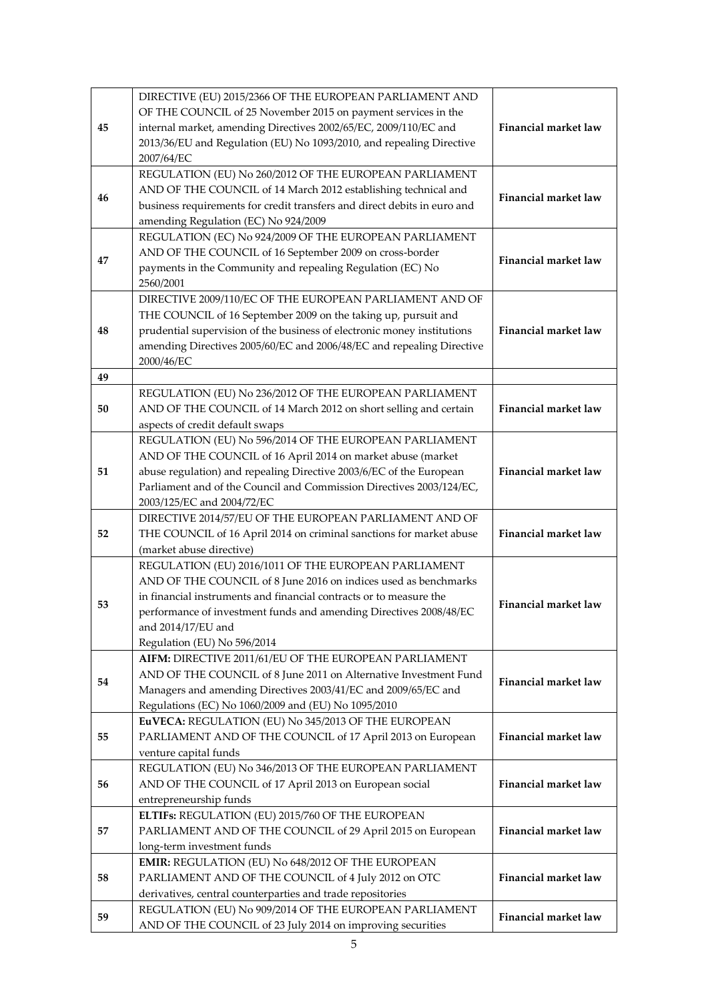|    | DIRECTIVE (EU) 2015/2366 OF THE EUROPEAN PARLIAMENT AND                              |                             |  |
|----|--------------------------------------------------------------------------------------|-----------------------------|--|
| 45 | OF THE COUNCIL of 25 November 2015 on payment services in the                        |                             |  |
|    | internal market, amending Directives 2002/65/EC, 2009/110/EC and                     | <b>Financial market law</b> |  |
|    | 2013/36/EU and Regulation (EU) No 1093/2010, and repealing Directive                 |                             |  |
|    | 2007/64/EC                                                                           |                             |  |
|    | REGULATION (EU) No 260/2012 OF THE EUROPEAN PARLIAMENT                               |                             |  |
| 46 | AND OF THE COUNCIL of 14 March 2012 establishing technical and                       | Financial market law        |  |
|    | business requirements for credit transfers and direct debits in euro and             |                             |  |
|    | amending Regulation (EC) No 924/2009                                                 |                             |  |
|    | REGULATION (EC) No 924/2009 OF THE EUROPEAN PARLIAMENT                               |                             |  |
| 47 | AND OF THE COUNCIL of 16 September 2009 on cross-border                              | <b>Financial market law</b> |  |
|    | payments in the Community and repealing Regulation (EC) No                           |                             |  |
|    | 2560/2001                                                                            |                             |  |
|    | DIRECTIVE 2009/110/EC OF THE EUROPEAN PARLIAMENT AND OF                              |                             |  |
|    | THE COUNCIL of 16 September 2009 on the taking up, pursuit and                       |                             |  |
| 48 | prudential supervision of the business of electronic money institutions              | Financial market law        |  |
|    | amending Directives 2005/60/EC and 2006/48/EC and repealing Directive                |                             |  |
|    | 2000/46/EC                                                                           |                             |  |
| 49 |                                                                                      |                             |  |
|    | REGULATION (EU) No 236/2012 OF THE EUROPEAN PARLIAMENT                               |                             |  |
| 50 | AND OF THE COUNCIL of 14 March 2012 on short selling and certain                     | <b>Financial market law</b> |  |
|    | aspects of credit default swaps                                                      |                             |  |
|    | REGULATION (EU) No 596/2014 OF THE EUROPEAN PARLIAMENT                               |                             |  |
|    | AND OF THE COUNCIL of 16 April 2014 on market abuse (market                          |                             |  |
| 51 | abuse regulation) and repealing Directive 2003/6/EC of the European                  | Financial market law        |  |
|    | Parliament and of the Council and Commission Directives 2003/124/EC,                 |                             |  |
|    | 2003/125/EC and 2004/72/EC<br>DIRECTIVE 2014/57/EU OF THE EUROPEAN PARLIAMENT AND OF |                             |  |
| 52 | THE COUNCIL of 16 April 2014 on criminal sanctions for market abuse                  | Financial market law        |  |
|    | (market abuse directive)                                                             |                             |  |
|    | REGULATION (EU) 2016/1011 OF THE EUROPEAN PARLIAMENT                                 |                             |  |
|    | AND OF THE COUNCIL of 8 June 2016 on indices used as benchmarks                      |                             |  |
|    | in financial instruments and financial contracts or to measure the                   |                             |  |
| 53 | performance of investment funds and amending Directives 2008/48/EC                   | <b>Financial market law</b> |  |
|    | and 2014/17/EU and                                                                   |                             |  |
|    | Regulation (EU) No 596/2014                                                          |                             |  |
|    | AIFM: DIRECTIVE 2011/61/EU OF THE EUROPEAN PARLIAMENT                                |                             |  |
|    | AND OF THE COUNCIL of 8 June 2011 on Alternative Investment Fund                     |                             |  |
| 54 | Managers and amending Directives 2003/41/EC and 2009/65/EC and                       | <b>Financial market law</b> |  |
|    | Regulations (EC) No 1060/2009 and (EU) No 1095/2010                                  |                             |  |
|    | EuVECA: REGULATION (EU) No 345/2013 OF THE EUROPEAN                                  |                             |  |
| 55 | PARLIAMENT AND OF THE COUNCIL of 17 April 2013 on European                           | <b>Financial market law</b> |  |
|    | venture capital funds                                                                |                             |  |
|    | REGULATION (EU) No 346/2013 OF THE EUROPEAN PARLIAMENT                               |                             |  |
| 56 | AND OF THE COUNCIL of 17 April 2013 on European social                               | Financial market law        |  |
|    | entrepreneurship funds                                                               |                             |  |
|    | ELTIFs: REGULATION (EU) 2015/760 OF THE EUROPEAN                                     |                             |  |
| 57 | PARLIAMENT AND OF THE COUNCIL of 29 April 2015 on European                           | <b>Financial market law</b> |  |
|    | long-term investment funds                                                           |                             |  |
|    | EMIR: REGULATION (EU) No 648/2012 OF THE EUROPEAN                                    |                             |  |
| 58 | PARLIAMENT AND OF THE COUNCIL of 4 July 2012 on OTC                                  | Financial market law        |  |
|    | derivatives, central counterparties and trade repositories                           |                             |  |
| 59 | REGULATION (EU) No 909/2014 OF THE EUROPEAN PARLIAMENT                               | Financial market law        |  |
|    | AND OF THE COUNCIL of 23 July 2014 on improving securities                           |                             |  |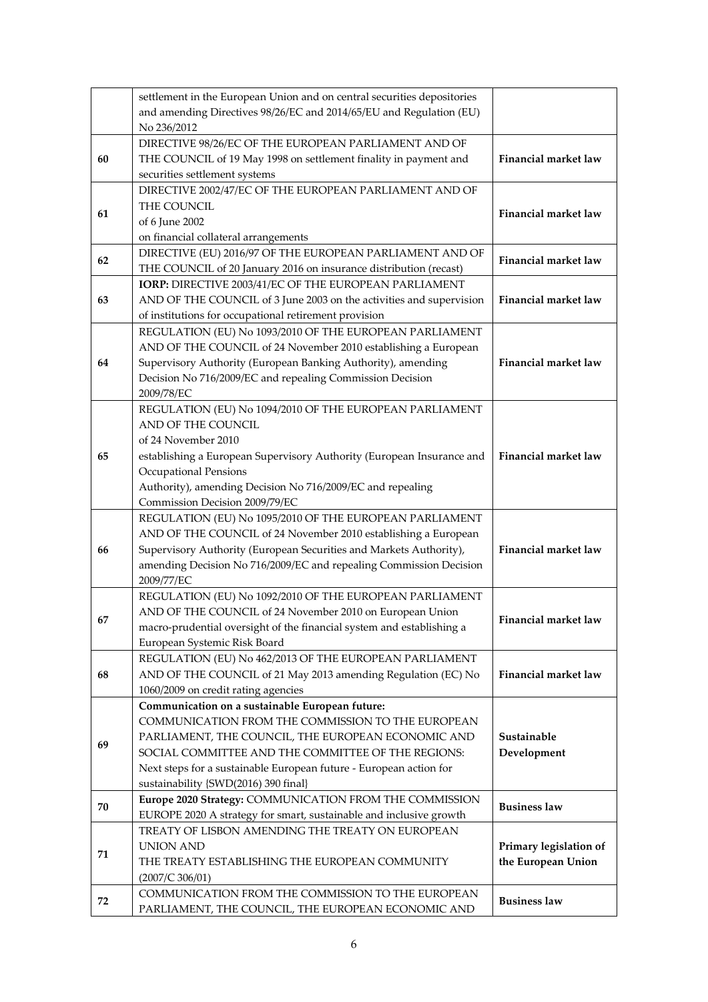|    | settlement in the European Union and on central securities depositories<br>and amending Directives 98/26/EC and 2014/65/EU and Regulation (EU) |                             |
|----|------------------------------------------------------------------------------------------------------------------------------------------------|-----------------------------|
|    | No 236/2012                                                                                                                                    |                             |
|    | DIRECTIVE 98/26/EC OF THE EUROPEAN PARLIAMENT AND OF                                                                                           |                             |
| 60 | THE COUNCIL of 19 May 1998 on settlement finality in payment and                                                                               | <b>Financial market law</b> |
|    | securities settlement systems                                                                                                                  |                             |
|    | DIRECTIVE 2002/47/EC OF THE EUROPEAN PARLIAMENT AND OF                                                                                         |                             |
| 61 | THE COUNCIL                                                                                                                                    | Financial market law        |
|    | of 6 June 2002                                                                                                                                 |                             |
|    | on financial collateral arrangements                                                                                                           |                             |
| 62 | DIRECTIVE (EU) 2016/97 OF THE EUROPEAN PARLIAMENT AND OF                                                                                       | <b>Financial market law</b> |
|    | THE COUNCIL of 20 January 2016 on insurance distribution (recast)                                                                              |                             |
|    | IORP: DIRECTIVE 2003/41/EC OF THE EUROPEAN PARLIAMENT                                                                                          |                             |
| 63 | AND OF THE COUNCIL of 3 June 2003 on the activities and supervision                                                                            | <b>Financial market law</b> |
|    | of institutions for occupational retirement provision                                                                                          |                             |
|    | REGULATION (EU) No 1093/2010 OF THE EUROPEAN PARLIAMENT                                                                                        |                             |
|    | AND OF THE COUNCIL of 24 November 2010 establishing a European                                                                                 |                             |
| 64 | Supervisory Authority (European Banking Authority), amending                                                                                   | <b>Financial market law</b> |
|    | Decision No 716/2009/EC and repealing Commission Decision<br>2009/78/EC                                                                        |                             |
|    | REGULATION (EU) No 1094/2010 OF THE EUROPEAN PARLIAMENT                                                                                        |                             |
|    | AND OF THE COUNCIL                                                                                                                             |                             |
|    | of 24 November 2010                                                                                                                            |                             |
| 65 | establishing a European Supervisory Authority (European Insurance and                                                                          | <b>Financial market law</b> |
|    | Occupational Pensions                                                                                                                          |                             |
|    | Authority), amending Decision No 716/2009/EC and repealing                                                                                     |                             |
|    | Commission Decision 2009/79/EC                                                                                                                 |                             |
|    | REGULATION (EU) No 1095/2010 OF THE EUROPEAN PARLIAMENT                                                                                        |                             |
|    | AND OF THE COUNCIL of 24 November 2010 establishing a European                                                                                 |                             |
| 66 | Supervisory Authority (European Securities and Markets Authority),                                                                             | <b>Financial market law</b> |
|    | amending Decision No 716/2009/EC and repealing Commission Decision<br>2009/77/EC                                                               |                             |
|    | REGULATION (EU) No 1092/2010 OF THE EUROPEAN PARLIAMENT                                                                                        |                             |
|    | AND OF THE COUNCIL of 24 November 2010 on European Union                                                                                       |                             |
| 67 | macro-prudential oversight of the financial system and establishing a                                                                          | Financial market law        |
|    | European Systemic Risk Board                                                                                                                   |                             |
|    | REGULATION (EU) No 462/2013 OF THE EUROPEAN PARLIAMENT                                                                                         |                             |
| 68 | AND OF THE COUNCIL of 21 May 2013 amending Regulation (EC) No                                                                                  | Financial market law        |
|    | 1060/2009 on credit rating agencies                                                                                                            |                             |
|    | Communication on a sustainable European future:                                                                                                |                             |
|    | COMMUNICATION FROM THE COMMISSION TO THE EUROPEAN                                                                                              |                             |
| 69 | PARLIAMENT, THE COUNCIL, THE EUROPEAN ECONOMIC AND                                                                                             | Sustainable                 |
|    | SOCIAL COMMITTEE AND THE COMMITTEE OF THE REGIONS:                                                                                             | Development                 |
|    | Next steps for a sustainable European future - European action for                                                                             |                             |
|    | sustainability {SWD(2016) 390 final}                                                                                                           |                             |
| 70 | Europe 2020 Strategy: COMMUNICATION FROM THE COMMISSION                                                                                        | <b>Business law</b>         |
|    | EUROPE 2020 A strategy for smart, sustainable and inclusive growth                                                                             |                             |
|    | TREATY OF LISBON AMENDING THE TREATY ON EUROPEAN                                                                                               |                             |
| 71 | <b>UNION AND</b>                                                                                                                               | Primary legislation of      |
|    | THE TREATY ESTABLISHING THE EUROPEAN COMMUNITY                                                                                                 | the European Union          |
|    | (2007/C 306/01)                                                                                                                                |                             |
| 72 | COMMUNICATION FROM THE COMMISSION TO THE EUROPEAN<br>PARLIAMENT, THE COUNCIL, THE EUROPEAN ECONOMIC AND                                        | <b>Business law</b>         |
|    |                                                                                                                                                |                             |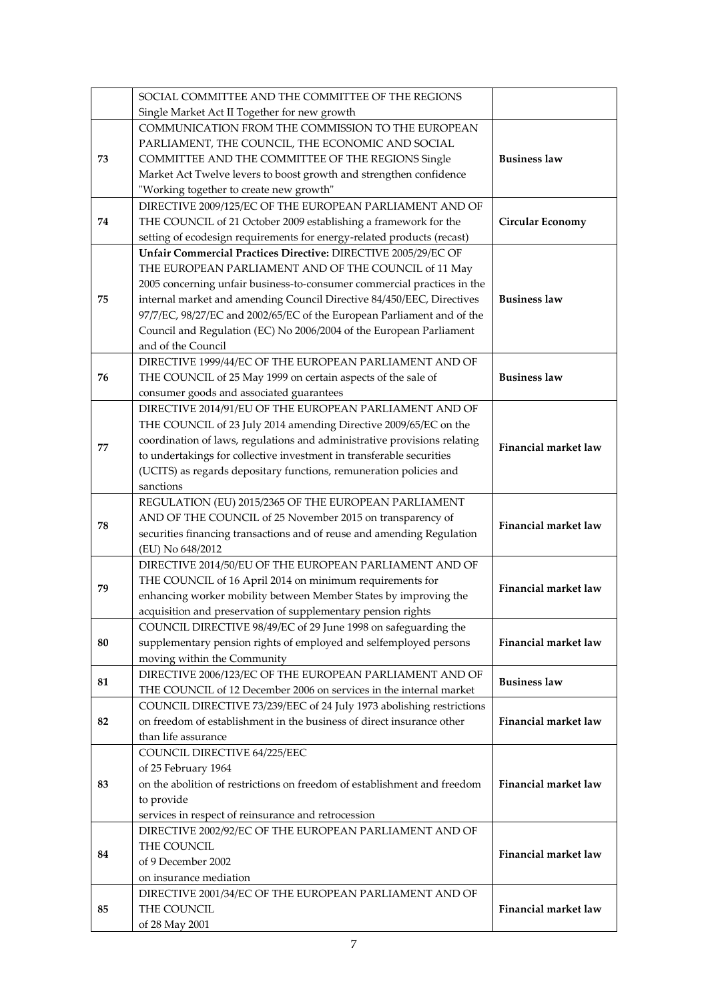|    | SOCIAL COMMITTEE AND THE COMMITTEE OF THE REGIONS                                                             |                             |
|----|---------------------------------------------------------------------------------------------------------------|-----------------------------|
|    | Single Market Act II Together for new growth                                                                  |                             |
|    | COMMUNICATION FROM THE COMMISSION TO THE EUROPEAN                                                             |                             |
|    | PARLIAMENT, THE COUNCIL, THE ECONOMIC AND SOCIAL                                                              |                             |
| 73 | COMMITTEE AND THE COMMITTEE OF THE REGIONS Single                                                             | <b>Business law</b>         |
|    | Market Act Twelve levers to boost growth and strengthen confidence                                            |                             |
|    | "Working together to create new growth"                                                                       |                             |
|    | DIRECTIVE 2009/125/EC OF THE EUROPEAN PARLIAMENT AND OF                                                       |                             |
| 74 | THE COUNCIL of 21 October 2009 establishing a framework for the                                               | <b>Circular Economy</b>     |
|    | setting of ecodesign requirements for energy-related products (recast)                                        |                             |
|    | Unfair Commercial Practices Directive: DIRECTIVE 2005/29/EC OF                                                |                             |
|    | THE EUROPEAN PARLIAMENT AND OF THE COUNCIL of 11 May                                                          |                             |
|    | 2005 concerning unfair business-to-consumer commercial practices in the                                       |                             |
| 75 | internal market and amending Council Directive 84/450/EEC, Directives                                         | <b>Business law</b>         |
|    | 97/7/EC, 98/27/EC and 2002/65/EC of the European Parliament and of the                                        |                             |
|    | Council and Regulation (EC) No 2006/2004 of the European Parliament                                           |                             |
|    | and of the Council                                                                                            |                             |
|    | DIRECTIVE 1999/44/EC OF THE EUROPEAN PARLIAMENT AND OF                                                        | <b>Business law</b>         |
| 76 | THE COUNCIL of 25 May 1999 on certain aspects of the sale of<br>consumer goods and associated guarantees      |                             |
|    | DIRECTIVE 2014/91/EU OF THE EUROPEAN PARLIAMENT AND OF                                                        |                             |
|    | THE COUNCIL of 23 July 2014 amending Directive 2009/65/EC on the                                              |                             |
|    | coordination of laws, regulations and administrative provisions relating                                      |                             |
| 77 | to undertakings for collective investment in transferable securities                                          | Financial market law        |
|    | (UCITS) as regards depositary functions, remuneration policies and                                            |                             |
|    | sanctions                                                                                                     |                             |
|    | REGULATION (EU) 2015/2365 OF THE EUROPEAN PARLIAMENT                                                          |                             |
|    | AND OF THE COUNCIL of 25 November 2015 on transparency of                                                     |                             |
| 78 | securities financing transactions and of reuse and amending Regulation                                        | Financial market law        |
|    | (EU) No 648/2012                                                                                              |                             |
|    | DIRECTIVE 2014/50/EU OF THE EUROPEAN PARLIAMENT AND OF                                                        |                             |
|    | THE COUNCIL of 16 April 2014 on minimum requirements for                                                      |                             |
| 79 | enhancing worker mobility between Member States by improving the                                              | Financial market law        |
|    | acquisition and preservation of supplementary pension rights                                                  |                             |
|    | COUNCIL DIRECTIVE 98/49/EC of 29 June 1998 on safeguarding the                                                |                             |
| 80 | supplementary pension rights of employed and selfemployed persons                                             | Financial market law        |
|    | moving within the Community                                                                                   |                             |
| 81 | DIRECTIVE 2006/123/EC OF THE EUROPEAN PARLIAMENT AND OF                                                       | <b>Business law</b>         |
|    | THE COUNCIL of 12 December 2006 on services in the internal market                                            |                             |
|    | COUNCIL DIRECTIVE 73/239/EEC of 24 July 1973 abolishing restrictions                                          |                             |
| 82 | on freedom of establishment in the business of direct insurance other                                         | <b>Financial market law</b> |
|    | than life assurance                                                                                           |                             |
|    | COUNCIL DIRECTIVE 64/225/EEC                                                                                  |                             |
|    | of 25 February 1964                                                                                           | Financial market law        |
| 83 | on the abolition of restrictions on freedom of establishment and freedom                                      |                             |
|    | to provide                                                                                                    |                             |
|    | services in respect of reinsurance and retrocession<br>DIRECTIVE 2002/92/EC OF THE EUROPEAN PARLIAMENT AND OF |                             |
| 84 | THE COUNCIL                                                                                                   |                             |
|    | of 9 December 2002                                                                                            | Financial market law        |
|    | on insurance mediation                                                                                        |                             |
|    | DIRECTIVE 2001/34/EC OF THE EUROPEAN PARLIAMENT AND OF                                                        |                             |
| 85 | THE COUNCIL                                                                                                   | Financial market law        |
|    | of 28 May 2001                                                                                                |                             |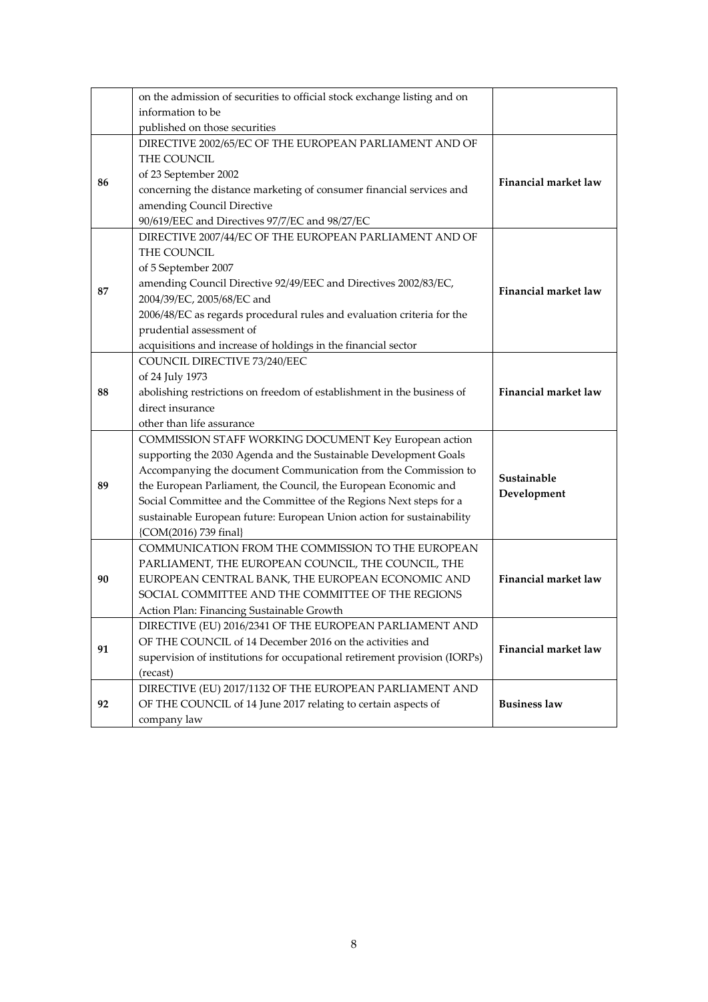|    | on the admission of securities to official stock exchange listing and on  |                             |  |
|----|---------------------------------------------------------------------------|-----------------------------|--|
|    | information to be                                                         |                             |  |
|    | published on those securities                                             |                             |  |
|    | DIRECTIVE 2002/65/EC OF THE EUROPEAN PARLIAMENT AND OF                    |                             |  |
|    | THE COUNCIL                                                               |                             |  |
|    | of 23 September 2002                                                      | <b>Financial market law</b> |  |
| 86 | concerning the distance marketing of consumer financial services and      |                             |  |
|    | amending Council Directive                                                |                             |  |
|    | 90/619/EEC and Directives 97/7/EC and 98/27/EC                            |                             |  |
|    | DIRECTIVE 2007/44/EC OF THE EUROPEAN PARLIAMENT AND OF                    |                             |  |
|    | THE COUNCIL                                                               |                             |  |
|    | of 5 September 2007                                                       |                             |  |
| 87 | amending Council Directive 92/49/EEC and Directives 2002/83/EC,           | Financial market law        |  |
|    | 2004/39/EC, 2005/68/EC and                                                |                             |  |
|    | 2006/48/EC as regards procedural rules and evaluation criteria for the    |                             |  |
|    | prudential assessment of                                                  |                             |  |
|    | acquisitions and increase of holdings in the financial sector             |                             |  |
|    | COUNCIL DIRECTIVE 73/240/EEC                                              |                             |  |
|    | of 24 July 1973                                                           |                             |  |
| 88 | abolishing restrictions on freedom of establishment in the business of    | <b>Financial market law</b> |  |
|    | direct insurance                                                          |                             |  |
|    | other than life assurance                                                 |                             |  |
|    | COMMISSION STAFF WORKING DOCUMENT Key European action                     |                             |  |
|    | supporting the 2030 Agenda and the Sustainable Development Goals          |                             |  |
|    | Accompanying the document Communication from the Commission to            | Sustainable                 |  |
| 89 | the European Parliament, the Council, the European Economic and           | Development                 |  |
|    | Social Committee and the Committee of the Regions Next steps for a        |                             |  |
|    | sustainable European future: European Union action for sustainability     |                             |  |
|    | {COM(2016) 739 final}                                                     |                             |  |
|    | COMMUNICATION FROM THE COMMISSION TO THE EUROPEAN                         |                             |  |
|    | PARLIAMENT, THE EUROPEAN COUNCIL, THE COUNCIL, THE                        |                             |  |
| 90 | EUROPEAN CENTRAL BANK, THE EUROPEAN ECONOMIC AND                          | Financial market law        |  |
|    | SOCIAL COMMITTEE AND THE COMMITTEE OF THE REGIONS                         |                             |  |
|    | Action Plan: Financing Sustainable Growth                                 |                             |  |
| 91 | DIRECTIVE (EU) 2016/2341 OF THE EUROPEAN PARLIAMENT AND                   |                             |  |
|    | OF THE COUNCIL of 14 December 2016 on the activities and                  | Financial market law        |  |
|    | supervision of institutions for occupational retirement provision (IORPs) |                             |  |
|    | (recast)                                                                  |                             |  |
| 92 | DIRECTIVE (EU) 2017/1132 OF THE EUROPEAN PARLIAMENT AND                   | <b>Business law</b>         |  |
|    | OF THE COUNCIL of 14 June 2017 relating to certain aspects of             |                             |  |
|    | company law                                                               |                             |  |